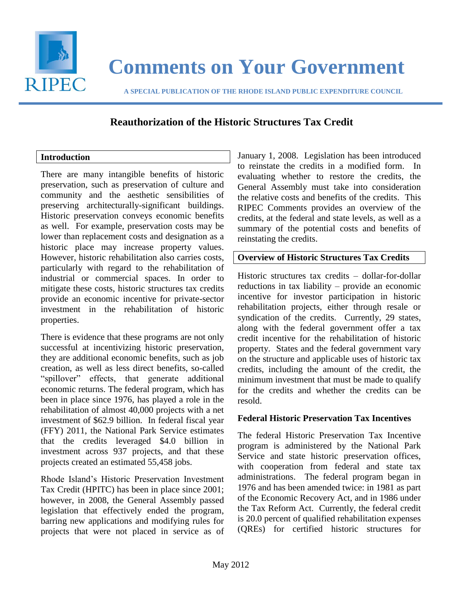

# **Comments on Your Government**

 **A SPECIAL PUBLICATION OF THE RHODE ISLAND PUBLIC EXPENDITURE COUNCIL**

## **Reauthorization of the Historic Structures Tax Credit**

## **Introduction**

There are many intangible benefits of historic preservation, such as preservation of culture and community and the aesthetic sensibilities of preserving architecturally-significant buildings. Historic preservation conveys economic benefits as well. For example, preservation costs may be lower than replacement costs and designation as a historic place may increase property values. However, historic rehabilitation also carries costs, particularly with regard to the rehabilitation of industrial or commercial spaces. In order to mitigate these costs, historic structures tax credits provide an economic incentive for private-sector investment in the rehabilitation of historic properties.

There is evidence that these programs are not only successful at incentivizing historic preservation, they are additional economic benefits, such as job creation, as well as less direct benefits, so-called "spillover" effects, that generate additional economic returns. The federal program, which has been in place since 1976, has played a role in the rehabilitation of almost 40,000 projects with a net investment of \$62.9 billion. In federal fiscal year (FFY) 2011, the National Park Service estimates that the credits leveraged \$4.0 billion in investment across 937 projects, and that these projects created an estimated 55,458 jobs.

Rhode Island's Historic Preservation Investment Tax Credit (HPITC) has been in place since 2001; however, in 2008, the General Assembly passed legislation that effectively ended the program, barring new applications and modifying rules for projects that were not placed in service as of January 1, 2008. Legislation has been introduced to reinstate the credits in a modified form. In evaluating whether to restore the credits, the General Assembly must take into consideration the relative costs and benefits of the credits. This RIPEC Comments provides an overview of the credits, at the federal and state levels, as well as a summary of the potential costs and benefits of reinstating the credits.

## **Overview of Historic Structures Tax Credits**

Historic structures tax credits – dollar-for-dollar reductions in tax liability – provide an economic incentive for investor participation in historic rehabilitation projects, either through resale or syndication of the credits. Currently, 29 states, along with the federal government offer a tax credit incentive for the rehabilitation of historic property. States and the federal government vary on the structure and applicable uses of historic tax credits, including the amount of the credit, the minimum investment that must be made to qualify for the credits and whether the credits can be resold.

### **Federal Historic Preservation Tax Incentives**

The federal Historic Preservation Tax Incentive program is administered by the National Park Service and state historic preservation offices, with cooperation from federal and state tax administrations. The federal program began in 1976 and has been amended twice: in 1981 as part of the Economic Recovery Act, and in 1986 under the Tax Reform Act. Currently, the federal credit is 20.0 percent of qualified rehabilitation expenses (QREs) for certified historic structures for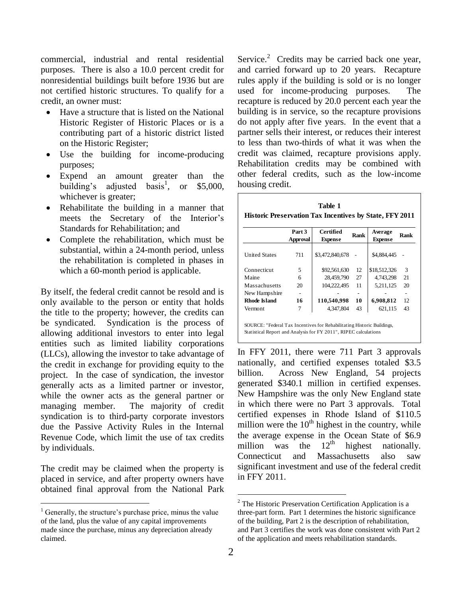commercial, industrial and rental residential purposes. There is also a 10.0 percent credit for nonresidential buildings built before 1936 but are not certified historic structures. To qualify for a credit, an owner must:

- Have a structure that is listed on the National Historic Register of Historic Places or is a contributing part of a historic district listed on the Historic Register;
- Use the building for income-producing purposes;
- Expend an amount greater than the building's adjusted basis<sup>1</sup>, or \$5,000, whichever is greater;
- Rehabilitate the building in a manner that meets the Secretary of the Interior's Standards for Rehabilitation; and
- Complete the rehabilitation, which must be substantial, within a 24-month period, unless the rehabilitation is completed in phases in which a 60-month period is applicable.

By itself, the federal credit cannot be resold and is only available to the person or entity that holds the title to the property; however, the credits can be syndicated. Syndication is the process of allowing additional investors to enter into legal entities such as limited liability corporations (LLCs), allowing the investor to take advantage of the credit in exchange for providing equity to the project. In the case of syndication, the investor generally acts as a limited partner or investor, while the owner acts as the general partner or managing member. The majority of credit syndication is to third-party corporate investors due the Passive Activity Rules in the Internal Revenue Code, which limit the use of tax credits by individuals.

The credit may be claimed when the property is placed in service, and after property owners have obtained final approval from the National Park

l

Service.<sup>2</sup> Credits may be carried back one year, and carried forward up to 20 years. Recapture rules apply if the building is sold or is no longer used for income-producing purposes. The recapture is reduced by 20.0 percent each year the building is in service, so the recapture provisions do not apply after five years. In the event that a partner sells their interest, or reduces their interest to less than two-thirds of what it was when the credit was claimed, recapture provisions apply. Rehabilitation credits may be combined with other federal credits, such as the low-income housing credit.

| Table 1                                                        |
|----------------------------------------------------------------|
| <b>Historic Preservation Tax Incentives by State, FFY 2011</b> |

|                      | Part 3<br>Approval | Certified<br><b>Expense</b> | Rank | Average<br><b>Expense</b> | Rank |
|----------------------|--------------------|-----------------------------|------|---------------------------|------|
| <b>United States</b> | 711                | \$3,472,840,678             |      | \$4,884,445               |      |
| Connecticut          | 5                  | \$92,561,630                | 12   | \$18,512,326              | 3    |
| Maine                | 6                  | 28,459,790                  | 27   | 4,743,298                 | 21   |
| Massachusetts        | 20                 | 104.222.495                 | 11   | 5,211,125                 | 20   |
| New Hampshire        |                    |                             |      |                           |      |
| Rhode Island         | 16                 | 110,540,998                 | 10   | 6,908,812                 | 12   |
| Vermont              |                    | 4,347,804                   | 43   | 621,115                   | 43   |

SOURCE: "Federal Tax Incentives for Rehabilitating Historic Buildings, Statistical Report and Analysis for FY 2011", RIPEC calculations

In FFY 2011, there were 711 Part 3 approvals nationally, and certified expenses totaled \$3.5 billion. Across New England, 54 projects generated \$340.1 million in certified expenses. New Hampshire was the only New England state in which there were no Part 3 approvals. Total certified expenses in Rhode Island of \$110.5 million were the  $10<sup>th</sup>$  highest in the country, while the average expense in the Ocean State of  $$6.9$  million was the  $12<sup>th</sup>$  highest nationally. million was the  $12<sup>th</sup>$  highest nationally. Connecticut and Massachusetts also saw significant investment and use of the federal credit in FFY 2011.

l

 $<sup>1</sup>$  Generally, the structure's purchase price, minus the value</sup> of the land, plus the value of any capital improvements made since the purchase, minus any depreciation already claimed.

<sup>2</sup> The Historic Preservation Certification Application is a three-part form. Part 1 determines the historic significance of the building, Part 2 is the description of rehabilitation, and Part 3 certifies the work was done consistent with Part 2 of the application and meets rehabilitation standards.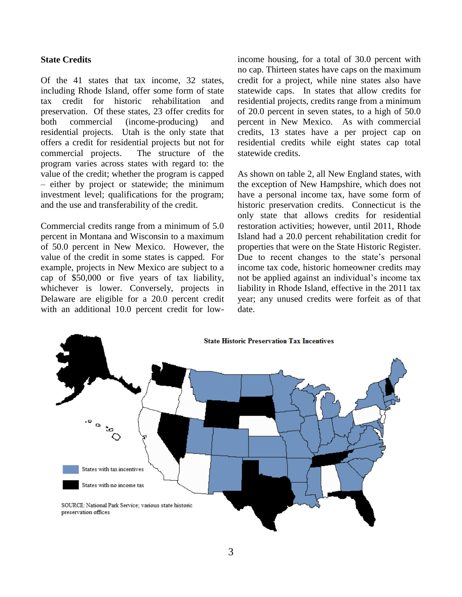#### **State Credits**

Of the 41 states that tax income, 32 states, including Rhode Island, offer some form of state tax credit for historic rehabilitation and preservation. Of these states, 23 offer credits for both commercial (income-producing) and residential projects. Utah is the only state that offers a credit for residential projects but not for commercial projects. The structure of the program varies across states with regard to: the value of the credit; whether the program is capped – either by project or statewide; the minimum investment level; qualifications for the program; and the use and transferability of the credit.

Commercial credits range from a minimum of 5.0 percent in Montana and Wisconsin to a maximum of 50.0 percent in New Mexico. However, the value of the credit in some states is capped. For example, projects in New Mexico are subject to a cap of \$50,000 or five years of tax liability, whichever is lower. Conversely, projects in Delaware are eligible for a 20.0 percent credit with an additional 10.0 percent credit for lowincome housing, for a total of 30.0 percent with no cap. Thirteen states have caps on the maximum credit for a project, while nine states also have statewide caps. In states that allow credits for residential projects, credits range from a minimum of 20.0 percent in seven states, to a high of 50.0 percent in New Mexico. As with commercial credits, 13 states have a per project cap on residential credits while eight states cap total statewide credits.

As shown on table 2, all New England states, with the exception of New Hampshire, which does not have a personal income tax, have some form of historic preservation credits. Connecticut is the only state that allows credits for residential restoration activities; however, until 2011, Rhode Island had a 20.0 percent rehabilitation credit for properties that were on the State Historic Register. Due to recent changes to the state's personal income tax code, historic homeowner credits may not be applied against an individual's income tax liability in Rhode Island, effective in the 2011 tax year; any unused credits were forfeit as of that date.

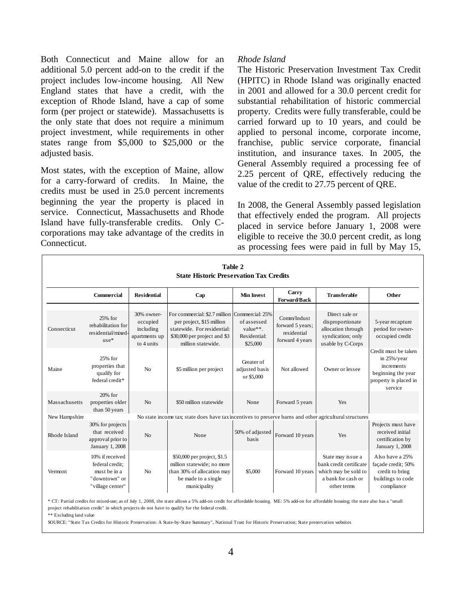Both Connecticut and Maine allow for an additional 5.0 percent add-on to the credit if the project includes low-income housing. All New England states that have a credit, with the exception of Rhode Island, have a cap of some form (per project or statewide). Massachusetts is the only state that does not require a minimum project investment, while requirements in other states range from \$5,000 to \$25,000 or the adjusted basis.

Most states, with the exception of Maine, allow for a carry-forward of credits. In Maine, the credits must be used in 25.0 percent increments beginning the year the property is placed in service. Connecticut, Massachusetts and Rhode Island have fully-transferable credits. Only Ccorporations may take advantage of the credits in Connecticut.

#### *Rhode Island*

The Historic Preservation Investment Tax Credit (HPITC) in Rhode Island was originally enacted in 2001 and allowed for a 30.0 percent credit for substantial rehabilitation of historic commercial property. Credits were fully transferable, could be carried forward up to 10 years, and could be applied to personal income, corporate income, franchise, public service corporate, financial institution, and insurance taxes. In 2005, the General Assembly required a processing fee of 2.25 percent of QRE, effectively reducing the value of the credit to 27.75 percent of QRE.

In 2008, the General Assembly passed legislation that effectively ended the program. All projects placed in service before January 1, 2008 were eligible to receive the 30.0 percent credit, as long as processing fees were paid in full by May 15,

|               | Table 2<br><b>State Historic Preservation Tax Credits</b>                               |                                                                    |                                                                                                                                                                 |                                                     |                                                                   |                                                                                                           |                                                                                                                 |
|---------------|-----------------------------------------------------------------------------------------|--------------------------------------------------------------------|-----------------------------------------------------------------------------------------------------------------------------------------------------------------|-----------------------------------------------------|-------------------------------------------------------------------|-----------------------------------------------------------------------------------------------------------|-----------------------------------------------------------------------------------------------------------------|
|               | Commercial                                                                              | <b>Residential</b>                                                 | Cap                                                                                                                                                             | <b>Min Invest</b>                                   | Carry<br><b>Forward/Back</b>                                      | <b>Transferable</b>                                                                                       | Other                                                                                                           |
| Connecticut   | 25% for<br>rehabilitation for<br>residential/mixed-<br>$use*$                           | 30% owner-<br>occupied<br>including<br>apartments up<br>to 4 units | For commercial: \$2.7 million Commercial: 25%<br>per project, \$15 million<br>statewide. For residential:<br>\$30,000 per project and \$3<br>million statewide. | of assessed<br>value**.<br>Residential:<br>\$25,000 | Comm/Indust<br>forward 5 years;<br>residential<br>forward 4 years | Direct sale or<br>disproportionate<br>allocation through<br>syndication; only<br>usable by C-Corps        | 5-year recapture<br>period for owner-<br>occupied credit                                                        |
| Maine         | 25% for<br>properties that<br>qualify for<br>federal credit*                            | N <sub>0</sub>                                                     | \$5 million per project                                                                                                                                         | Greater of<br>adjusted basis<br>or \$5,000          | Not allowed                                                       | Owner or lessee                                                                                           | Credit must be taken<br>in $25\%$ /year<br>increments<br>beginning the year<br>property is placed in<br>service |
| Massachusetts | $20%$ for<br>properties older<br>than 50 years                                          | No                                                                 | \$50 million statewide                                                                                                                                          | None                                                | Forward 5 years                                                   | Yes                                                                                                       |                                                                                                                 |
| New Hampshire |                                                                                         |                                                                    | No state income tax; state does have tax incentives to preserve barns and other agricultural structures                                                         |                                                     |                                                                   |                                                                                                           |                                                                                                                 |
| Rhode Island  | 30% for projects<br>that received<br>approval prior to<br>January 1, 2008               | No                                                                 | None                                                                                                                                                            | 50% of adjusted<br>basis                            | Forward 10 years                                                  | Yes                                                                                                       | Projects must have<br>received initial<br>certification by<br>January 1, 2008                                   |
| Vermont       | 10% if received<br>federal credit:<br>must be in a<br>"downtown" or<br>"village center" | No                                                                 | \$50,000 per project, \$1.5<br>million statewide; no more<br>than 30% of allocation may<br>be made to a single<br>municipality                                  | \$5,000                                             | Forward 10 years                                                  | State may issue a<br>bank credit certificate<br>which may be sold to<br>a bank for cash or<br>other terms | Also have a 25%<br>façade credit; 50%<br>credit to bring<br>buildings to code<br>compliance                     |

\* CT: Partial credits for mixed-use; as of July 1, 2008, the state allows a 5% add-on credit for affordable housing. ME: 5% add-on for affordable housing; the state also has a "small project rehabilitation credit" in which projects do not have to qualify for the federal credit.

\*\* Excluding land value

SOURCE: "State Tax Credits for Historic Preservation: A State-by-State Summary", National Trust for Historic Preservation; State preservation websites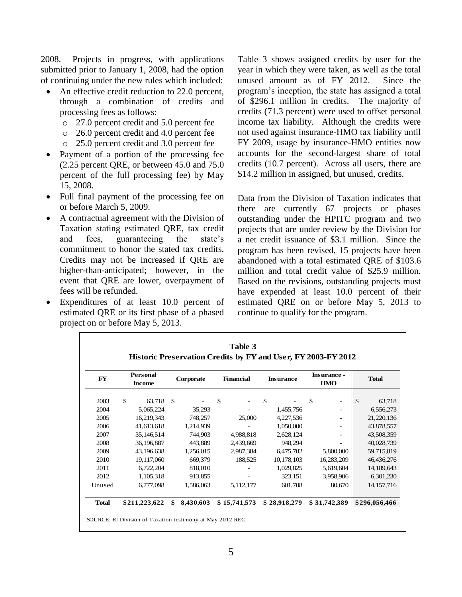2008. Projects in progress, with applications submitted prior to January 1, 2008, had the option of continuing under the new rules which included:

- An effective credit reduction to 22.0 percent, through a combination of credits and processing fees as follows:
	- o 27.0 percent credit and 5.0 percent fee
	- o 26.0 percent credit and 4.0 percent fee
	- o 25.0 percent credit and 3.0 percent fee
- Payment of a portion of the processing fee (2.25 percent QRE, or between 45.0 and 75.0 percent of the full processing fee) by May 15, 2008.
- Full final payment of the processing fee on or before March 5, 2009.
- A contractual agreement with the Division of Taxation stating estimated QRE, tax credit and fees, guaranteeing the state's commitment to honor the stated tax credits. Credits may not be increased if QRE are higher-than-anticipated; however, in the event that QRE are lower, overpayment of fees will be refunded.
- Expenditures of at least 10.0 percent of estimated QRE or its first phase of a phased project on or before May 5, 2013.

Table 3 shows assigned credits by user for the year in which they were taken, as well as the total unused amount as of FY 2012. Since the program's inception, the state has assigned a total of \$296.1 million in credits. The majority of credits (71.3 percent) were used to offset personal income tax liability. Although the credits were not used against insurance-HMO tax liability until FY 2009, usage by insurance-HMO entities now accounts for the second-largest share of total credits (10.7 percent). Across all users, there are \$14.2 million in assigned, but unused, credits.

Data from the Division of Taxation indicates that there are currently 67 projects or phases outstanding under the HPITC program and two projects that are under review by the Division for a net credit issuance of \$3.1 million. Since the program has been revised, 15 projects have been abandoned with a total estimated QRE of \$103.6 million and total credit value of \$25.9 million. Based on the revisions, outstanding projects must have expended at least 10.0 percent of their estimated QRE on or before May 5, 2013 to continue to qualify for the program.

| FY           |             | <b>Personal</b><br><b>Income</b> |     | Corporate | <b>Financial</b> | <b>Insurance</b> | <b>Insurance -</b><br><b>HMO</b> |               | <b>Total</b>  |
|--------------|-------------|----------------------------------|-----|-----------|------------------|------------------|----------------------------------|---------------|---------------|
| 2003         | $\mathbf S$ | 63,718                           | -\$ |           | \$               | \$               | \$<br>-                          | $\mathbf{\$}$ | 63,718        |
| 2004         |             | 5,065,224                        |     | 35,293    |                  | 1,455,756        | ۰                                |               | 6,556,273     |
| 2005         |             | 16,219,343                       |     | 748,257   | 25,000           | 4,227,536        | -                                |               | 21,220,136    |
| 2006         |             | 41,613,618                       |     | 1,214,939 |                  | 1,050,000        | -                                |               | 43,878,557    |
| 2007         |             | 35,146,514                       |     | 744,903   | 4,988,818        | 2,628,124        |                                  |               | 43,508,359    |
| 2008         |             | 36,196,887                       |     | 443,889   | 2,439,669        | 948,294          |                                  |               | 40,028,739    |
| 2009         |             | 43,196,638                       |     | 1,256,015 | 2,987,384        | 6,475,782        | 5,800,000                        |               | 59,715,819    |
| 2010         |             | 19,117,060                       |     | 669,379   | 188,525          | 10,178,103       | 16,283,209                       |               | 46,436,276    |
| 2011         |             | 6,722,204                        |     | 818,010   |                  | 1,029,825        | 5,619,604                        |               | 14,189,643    |
| 2012         |             | 1,105,318                        |     | 913,855   |                  | 323,151          | 3,958,906                        |               | 6,301,230     |
| Unused       |             | 6,777,098                        |     | 1,586,063 | 5,112,177        | 601,708          | 80,670                           |               | 14, 157, 716  |
| <b>Total</b> |             | \$211,223,622                    | \$  | 8,430,603 | \$15,741,573     | \$28,918,279     | \$31,742,389                     |               | \$296,056,466 |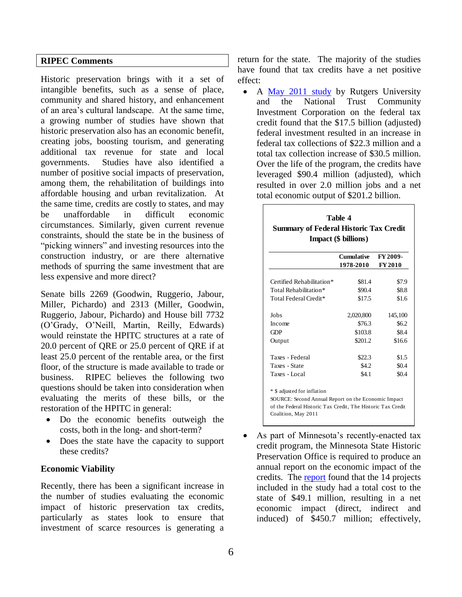#### **RIPEC Comments**

Historic preservation brings with it a set of intangible benefits, such as a sense of place, community and shared history, and enhancement of an area's cultural landscape. At the same time, a growing number of studies have shown that historic preservation also has an economic benefit, creating jobs, boosting tourism, and generating additional tax revenue for state and local governments. Studies have also identified a number of positive social impacts of preservation, among them, the rehabilitation of buildings into affordable housing and urban revitalization. At the same time, credits are costly to states, and may be unaffordable in difficult economic circumstances. Similarly, given current revenue constraints, should the state be in the business of "picking winners" and investing resources into the construction industry, or are there alternative methods of spurring the same investment that are less expensive and more direct?

Senate bills 2269 (Goodwin, Ruggerio, Jabour, Miller, Pichardo) and 2313 (Miller, Goodwin, Ruggerio, Jabour, Pichardo) and House bill 7732 (O'Grady, O'Neill, Martin, Reilly, Edwards) would reinstate the HPITC structures at a rate of 20.0 percent of QRE or 25.0 percent of QRE if at least 25.0 percent of the rentable area, or the first floor, of the structure is made available to trade or business. RIPEC believes the following two questions should be taken into consideration when evaluating the merits of these bills, or the restoration of the HPITC in general:

- Do the economic benefits outweigh the costs, both in the long- and short-term?
- Does the state have the capacity to support these credits?

#### **Economic Viability**

Recently, there has been a significant increase in the number of studies evaluating the economic impact of historic preservation tax credits, particularly as states look to ensure that investment of scarce resources is generating a

return for the state. The majority of the studies have found that tax credits have a net positive effect:

• A [May 2011 study](http://www.preservationnation.org/information-center/sustainable-communities/community-revitalization/jobs/2nd_Annual_Rutgers_Report.pdf) by Rutgers University and the National Trust Community Investment Corporation on the federal tax credit found that the \$17.5 billion (adjusted) federal investment resulted in an increase in federal tax collections of \$22.3 million and a total tax collection increase of \$30.5 million. Over the life of the program, the credits have leveraged \$90.4 million (adjusted), which resulted in over 2.0 million jobs and a net total economic output of \$201.2 billion.

|                           | FY 2009-<br>Cumulative |         |  |  |  |  |
|---------------------------|------------------------|---------|--|--|--|--|
|                           | 1978-2010              | FY 2010 |  |  |  |  |
| Certified Rehabilitation* | \$81.4                 | \$7.9   |  |  |  |  |
| Total Rehabilitation*     | \$90.4                 | \$8.8   |  |  |  |  |
| Total Federal Credit*     | \$17.5                 | \$1.6   |  |  |  |  |
| Jobs                      | 2,020,800              | 145,100 |  |  |  |  |
| Income                    | \$76.3                 | \$6.2\$ |  |  |  |  |
| GDP                       | \$103.8                | \$8.4   |  |  |  |  |
| Output                    | \$201.2                | \$16.6  |  |  |  |  |
| Taxes - Federal           | \$22.3                 | \$1.5   |  |  |  |  |
| Taxes - State             | \$4.2                  | \$0.4   |  |  |  |  |
| Taxes - Local             | \$4.1                  | \$0.4   |  |  |  |  |

 As part of Minnesota's recently-enacted tax credit program, the Minnesota State Historic Preservation Office is required to produce an annual report on the economic impact of the credits. The [report](http://www.mnhs.org/shpo/grants/docs_pdfs/Economic_Impact-Historic_Tax_Credit_2011.pdf) found that the 14 projects included in the study had a total cost to the state of \$49.1 million, resulting in a net economic impact (direct, indirect and induced) of \$450.7 million; effectively,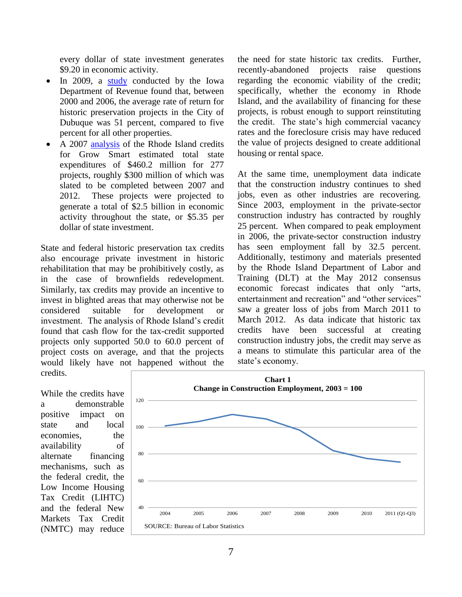every dollar of state investment generates \$9.20 in economic activity.

- In 2009, a [study](http://mpra.ub.uni-muenchen.de/14794/1/MPRA_paper_14794.pdf) conducted by the Iowa Department of Revenue found that, between 2000 and 2006, the average rate of return for historic preservation projects in the City of Dubuque was 51 percent, compared to five percent for all other properties.
- A 2007 [analysis](http://www.rihphc.state.ri.us/pdfs_zips_downloads/credits_pdfs/hpitc_pdfs/hpitc-study_pdfs/hpitc_analysis-2007.pdf) of the Rhode Island credits for Grow Smart estimated total state expenditures of \$460.2 million for 277 projects, roughly \$300 million of which was slated to be completed between 2007 and 2012. These projects were projected to generate a total of \$2.5 billion in economic activity throughout the state, or \$5.35 per dollar of state investment.

State and federal historic preservation tax credits also encourage private investment in historic rehabilitation that may be prohibitively costly, as in the case of brownfields redevelopment. Similarly, tax credits may provide an incentive to invest in blighted areas that may otherwise not be considered suitable for development or investment. The analysis of Rhode Island's credit found that cash flow for the tax-credit supported projects only supported 50.0 to 60.0 percent of project costs on average, and that the projects would likely have not happened without the credits.

the need for state historic tax credits. Further, recently-abandoned projects raise questions regarding the economic viability of the credit; specifically, whether the economy in Rhode Island, and the availability of financing for these projects, is robust enough to support reinstituting the credit. The state's high commercial vacancy rates and the foreclosure crisis may have reduced the value of projects designed to create additional housing or rental space.

At the same time, unemployment data indicate that the construction industry continues to shed jobs, even as other industries are recovering. Since 2003, employment in the private-sector construction industry has contracted by roughly 25 percent. When compared to peak employment in 2006, the private-sector construction industry has seen employment fall by 32.5 percent. Additionally, testimony and materials presented by the Rhode Island Department of Labor and Training (DLT) at the May 2012 consensus economic forecast indicates that only "arts, entertainment and recreation" and "other services" saw a greater loss of jobs from March 2011 to March 2012. As data indicate that historic tax credits have been successful at creating construction industry jobs, the credit may serve as a means to stimulate this particular area of the state's economy.

While the credits have a demonstrable positive impact on state and local economies, the availability of alternate financing mechanisms, such as the federal credit, the Low Income Housing Tax Credit (LIHTC) and the federal New Markets Tax Credit (NMTC) may reduce

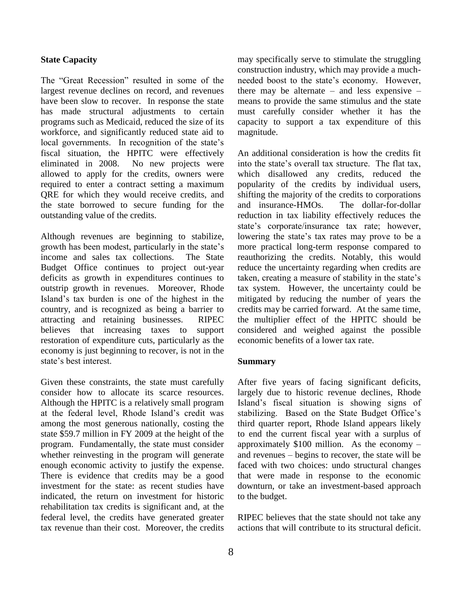#### **State Capacity**

The "Great Recession" resulted in some of the largest revenue declines on record, and revenues have been slow to recover. In response the state has made structural adjustments to certain programs such as Medicaid, reduced the size of its workforce, and significantly reduced state aid to local governments. In recognition of the state's fiscal situation, the HPITC were effectively eliminated in 2008. No new projects were allowed to apply for the credits, owners were required to enter a contract setting a maximum QRE for which they would receive credits, and the state borrowed to secure funding for the outstanding value of the credits.

Although revenues are beginning to stabilize, growth has been modest, particularly in the state's income and sales tax collections. The State Budget Office continues to project out-year deficits as growth in expenditures continues to outstrip growth in revenues. Moreover, Rhode Island's tax burden is one of the highest in the country, and is recognized as being a barrier to attracting and retaining businesses. RIPEC believes that increasing taxes to support restoration of expenditure cuts, particularly as the economy is just beginning to recover, is not in the state's best interest.

Given these constraints, the state must carefully consider how to allocate its scarce resources. Although the HPITC is a relatively small program at the federal level, Rhode Island's credit was among the most generous nationally, costing the state \$59.7 million in FY 2009 at the height of the program. Fundamentally, the state must consider whether reinvesting in the program will generate enough economic activity to justify the expense. There is evidence that credits may be a good investment for the state: as recent studies have indicated, the return on investment for historic rehabilitation tax credits is significant and, at the federal level, the credits have generated greater tax revenue than their cost. Moreover, the credits

may specifically serve to stimulate the struggling construction industry, which may provide a muchneeded boost to the state's economy. However, there may be alternate – and less expensive – means to provide the same stimulus and the state must carefully consider whether it has the capacity to support a tax expenditure of this magnitude.

An additional consideration is how the credits fit into the state's overall tax structure. The flat tax, which disallowed any credits, reduced the popularity of the credits by individual users, shifting the majority of the credits to corporations and insurance-HMOs. The dollar-for-dollar reduction in tax liability effectively reduces the state's corporate/insurance tax rate; however, lowering the state's tax rates may prove to be a more practical long-term response compared to reauthorizing the credits. Notably, this would reduce the uncertainty regarding when credits are taken, creating a measure of stability in the state's tax system. However, the uncertainty could be mitigated by reducing the number of years the credits may be carried forward. At the same time, the multiplier effect of the HPITC should be considered and weighed against the possible economic benefits of a lower tax rate.

#### **Summary**

After five years of facing significant deficits, largely due to historic revenue declines, Rhode Island's fiscal situation is showing signs of stabilizing. Based on the State Budget Office's third quarter report, Rhode Island appears likely to end the current fiscal year with a surplus of approximately \$100 million. As the economy – and revenues – begins to recover, the state will be faced with two choices: undo structural changes that were made in response to the economic downturn, or take an investment-based approach to the budget.

RIPEC believes that the state should not take any actions that will contribute to its structural deficit.